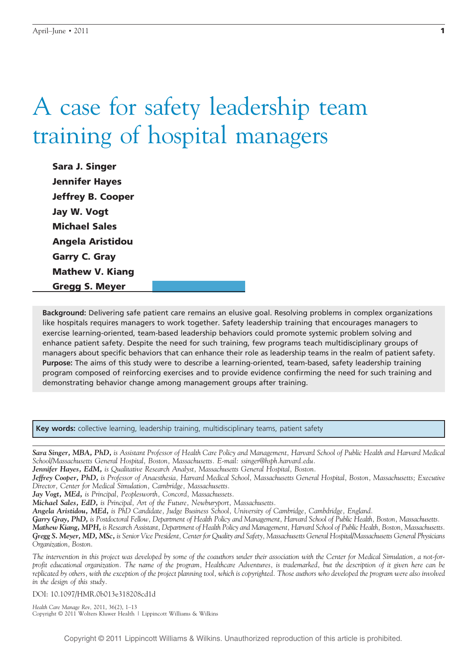# A case for safety leadership team training of hospital managers

Sara J. Singer Jennifer Hayes Jeffrey B. Cooper Jay W. Vogt Michael Sales Angela Aristidou Garry C. Gray Mathew V. Kiang Gregg S. Meyer

Background: Delivering safe patient care remains an elusive goal. Resolving problems in complex organizations like hospitals requires managers to work together. Safety leadership training that encourages managers to exercise learning-oriented, team-based leadership behaviors could promote systemic problem solving and enhance patient safety. Despite the need for such training, few programs teach multidisciplinary groups of managers about specific behaviors that can enhance their role as leadership teams in the realm of patient safety. Purpose: The aims of this study were to describe a learning-oriented, team-based, safety leadership training program composed of reinforcing exercises and to provide evidence confirming the need for such training and demonstrating behavior change among management groups after training.

Key words: collective learning, leadership training, multidisciplinary teams, patient safety

Sara Singer, MBA, PhD, is Assistant Professor of Health Care Policy and Management, Harvard School of Public Health and Harvard Medical School/Massachusetts General Hospital, Boston, Massachusetts. E-mail: ssinger@hsph.harvard.edu.

Jennifer Hayes, EdM, is Qualitative Research Analyst, Massachusetts General Hospital, Boston.

Jay Vogt, MEd, is Principal, Peoplesworth, Concord, Massachussets.

Michael Sales, EdD, is Principal, Art of the Future, Newburyport, Massachusetts.

Angela Aristidou, MEd, is PhD Candidate, Judge Business School, University of Cambridge, Cambdridge, England.

Garry Gray, PhD, is Postdoctoral Fellow, Department of Health Policy and Management, Harvard School of Public Health, Boston, Massachusetts. Mathew Kiang, MPH, is Research Assistant, Department of Health Policy and Management, Harvard School of Public Health, Boston, Massachusetts. Gregg S. Meyer, MD, MSc, is Senior Vice President, Center for Quality and Safety, Massachusetts General Hospital/Massachusetts General Physicians Organization, Boston.

The intervention in this project was developed by some of the coauthors under their association with the Center for Medical Simulation, a not-forprofit educational organization. The name of the program, Healthcare Adventures, is trademarked, but the description of it given here can be replicated by others, with the exception of the project planning tool, which is copyrighted. Those authors who developed the program were also involved in the design of this study.

DOI: 10.1097/HMR.0b013e318208cd1d

Health Care Manage Rev, 2011, 36(2), 1-13 Copyright *B* 2011 Wolters Kluwer Health | Lippincott Williams & Wilkins

Jeffrey Cooper, PhD, is Professor of Anaesthesia, Harvard Medical School, Massachusetts General Hospital, Boston, Massachusetts; Executive Director, Center for Medical Simulation, Cambridge, Massachusetts.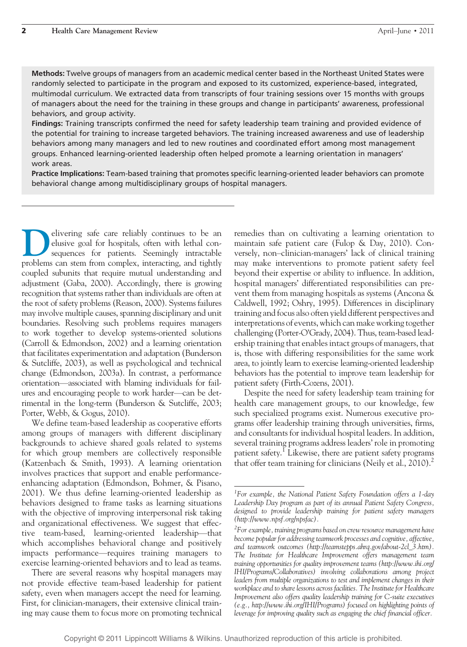Methods: Twelve groups of managers from an academic medical center based in the Northeast United States were randomly selected to participate in the program and exposed to its customized, experience-based, integrated, multimodal curriculum. We extracted data from transcripts of four training sessions over 15 months with groups of managers about the need for the training in these groups and change in participants' awareness, professional behaviors, and group activity.

Findings: Training transcripts confirmed the need for safety leadership team training and provided evidence of the potential for training to increase targeted behaviors. The training increased awareness and use of leadership behaviors among many managers and led to new routines and coordinated effort among most management groups. Enhanced learning-oriented leadership often helped promote a learning orientation in managers' work areas.

Practice Implications: Team-based training that promotes specific learning-oriented leader behaviors can promote behavioral change among multidisciplinary groups of hospital managers.

**Delivering safe care reliably continues to be an elusive goal for hospitals, often with lethal consequences for patients. Seemingly intractable problems can stem from complex interacting and tightly** elusive goal for hospitals, often with lethal conproblems can stem from complex, interacting, and tightly coupled subunits that require mutual understanding and adjustment (Gaba, 2000). Accordingly, there is growing recognition that systems rather than individuals are often at the root of safety problems (Reason, 2000). Systems failures may involve multiple causes, spanning disciplinary and unit boundaries. Resolving such problems requires managers to work together to develop systems-oriented solutions (Carroll & Edmondson, 2002) and a learning orientation that facilitates experimentation and adaptation (Bunderson & Sutcliffe, 2003), as well as psychological and technical change (Edmondson, 2003a). In contrast, a performance orientation—associated with blaming individuals for failures and encouraging people to work harder—can be detrimental in the long-term (Bunderson & Sutcliffe, 2003; Porter, Webb, & Gogus, 2010).

We define team-based leadership as cooperative efforts among groups of managers with different disciplinary backgrounds to achieve shared goals related to systems for which group members are collectively responsible (Katzenbach & Smith, 1993). A learning orientation involves practices that support and enable performanceenhancing adaptation (Edmondson, Bohmer, & Pisano, 2001). We thus define learning-oriented leadership as behaviors designed to frame tasks as learning situations with the objective of improving interpersonal risk taking and organizational effectiveness. We suggest that effective team-based, learning-oriented leadership—that which accomplishes behavioral change and positively impacts performance—requires training managers to exercise learning-oriented behaviors and to lead as teams.

There are several reasons why hospital managers may not provide effective team-based leadership for patient safety, even when managers accept the need for learning. First, for clinician-managers, their extensive clinical training may cause them to focus more on promoting technical remedies than on cultivating a learning orientation to maintain safe patient care (Fulop & Day, 2010). Conversely, non-clinician-managers' lack of clinical training may make interventions to promote patient safety feel beyond their expertise or ability to influence. In addition, hospital managers' differentiated responsibilities can prevent them from managing hospitals as systems (Ancona & Caldwell, 1992; Oshry, 1995). Differences in disciplinary training and focus also often yield different perspectives and interpretations of events, which can make working together challenging (Porter-O'Grady, 2004). Thus, team-based leadership training that enables intact groups of managers, that is, those with differing responsibilities for the same work area, to jointly learn to exercise learning-oriented leadership behaviors has the potential to improve team leadership for patient safety (Firth-Cozens, 2001).

Despite the need for safety leadership team training for health care management groups, to our knowledge, few such specialized programs exist. Numerous executive programs offer leadership training through universities, firms, and consultants for individual hospital leaders. In addition, several training programs address leaders' role in promoting patient safety.<sup>1</sup> Likewise, there are patient safety programs that offer team training for clinicians (Neily et al., 2010).<sup>2</sup>

<sup>&</sup>lt;sup>1</sup>For example, the National Patient Safety Foundation offers a 1-day Leadership Day program as part of its annual Patient Safety Congress, designed to provide leadership training for patient safety managers (http://www.npsf.org/npsfac).

 $^2$ For example, training programs based on crew resource management have become popular for addressing teamwork processes and cognitive, affective, and teamwork outcomes (http://teamstepps.ahrq.gov/about-2cl\_3.htm). The Institute for Healthcare Improvement offers management team training opportunities for quality improvement teams (http://www.ihi.org/ IHI/Programs/Collaboratives) involving collaborations among project leaders from multiple organizations to test and implement changes in their workplace and to share lessons across facilities. The Institute for Healthcare Improvement also offers quality leadership training for C-suite executives (e.g., http://www.ihi.org/IHI/Programs) focused on highlighting points of leverage for improving quality such as engaging the chief financial officer.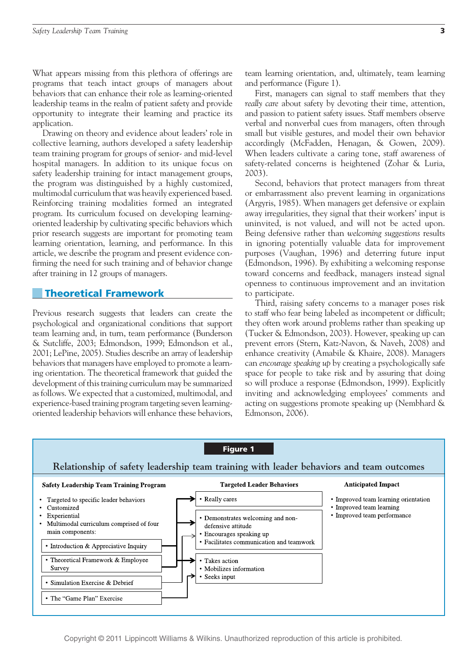What appears missing from this plethora of offerings are programs that teach intact groups of managers about behaviors that can enhance their role as learning-oriented leadership teams in the realm of patient safety and provide opportunity to integrate their learning and practice its application.

Drawing on theory and evidence about leaders' role in collective learning, authors developed a safety leadership team training program for groups of senior- and mid-level hospital managers. In addition to its unique focus on safety leadership training for intact management groups, the program was distinguished by a highly customized, multimodal curriculum that was heavily experienced based. Reinforcing training modalities formed an integrated program. Its curriculum focused on developing learningoriented leadership by cultivating specific behaviors which prior research suggests are important for promoting team learning orientation, learning, and performance. In this article, we describe the program and present evidence confirming the need for such training and of behavior change after training in 12 groups of managers.

#### Theoretical Framework

Previous research suggests that leaders can create the psychological and organizational conditions that support team learning and, in turn, team performance (Bunderson & Sutcliffe, 2003; Edmondson, 1999; Edmondson et al., 2001; LePine, 2005). Studies describe an array of leadership behaviors that managers have employed to promote a learning orientation. The theoretical framework that guided the development of this training curriculum may be summarized as follows. We expected that a customized, multimodal, and experience-based training program targeting seven learningoriented leadership behaviors will enhance these behaviors,

team learning orientation, and, ultimately, team learning and performance (Figure 1).

First, managers can signal to staff members that they really care about safety by devoting their time, attention, and passion to patient safety issues. Staff members observe verbal and nonverbal cues from managers, often through small but visible gestures, and model their own behavior accordingly (McFadden, Henagan, & Gowen, 2009). When leaders cultivate a caring tone, staff awareness of safety-related concerns is heightened (Zohar & Luria, 2003).

Second, behaviors that protect managers from threat or embarrassment also prevent learning in organizations (Argyris, 1985). When managers get defensive or explain away irregularities, they signal that their workers' input is uninvited, is not valued, and will not be acted upon. Being defensive rather than welcoming suggestions results in ignoring potentially valuable data for improvement purposes (Vaughan, 1996) and deterring future input (Edmondson, 1996). By exhibiting a welcoming response toward concerns and feedback, managers instead signal openness to continuous improvement and an invitation to participate.

Third, raising safety concerns to a manager poses risk to staff who fear being labeled as incompetent or difficult; they often work around problems rather than speaking up (Tucker & Edmondson, 2003). However, speaking up can prevent errors (Stern, Katz-Navon, & Naveh, 2008) and enhance creativity (Amabile & Khaire, 2008). Managers can encourage speaking up by creating a psychologically safe space for people to take risk and by assuring that doing so will produce a response (Edmondson, 1999). Explicitly inviting and acknowledging employees' comments and acting on suggestions promote speaking up (Nembhard & Edmonson, 2006).

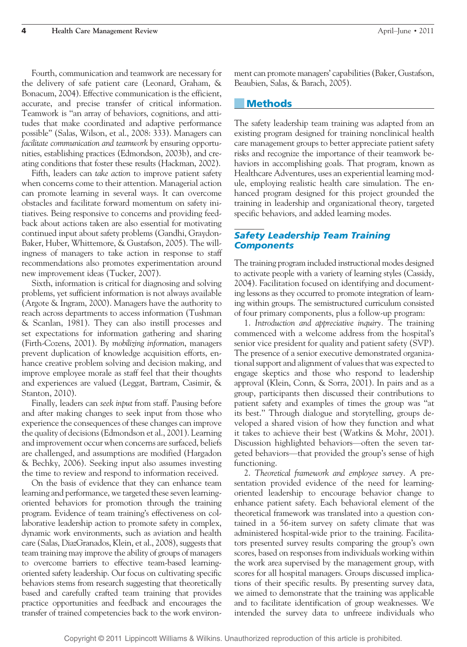Fourth, communication and teamwork are necessary for the delivery of safe patient care (Leonard, Graham, & Bonacum, 2004). Effective communication is the efficient, accurate, and precise transfer of critical information. Teamwork is ''an array of behaviors, cognitions, and attitudes that make coordinated and adaptive performance possible'' (Salas, Wilson, et al., 2008: 333). Managers can facilitate communication and teamwork by ensuring opportunities, establishing practices (Edmondson, 2003b), and creating conditions that foster these results (Hackman, 2002).

Fifth, leaders can take action to improve patient safety when concerns come to their attention. Managerial action can promote learning in several ways. It can overcome obstacles and facilitate forward momentum on safety initiatives. Being responsive to concerns and providing feedback about actions taken are also essential for motivating continued input about safety problems (Gandhi, Graydon-Baker, Huber, Whittemore, & Gustafson, 2005). The willingness of managers to take action in response to staff recommendations also promotes experimentation around new improvement ideas (Tucker, 2007).

Sixth, information is critical for diagnosing and solving problems, yet sufficient information is not always available (Argote & Ingram, 2000). Managers have the authority to reach across departments to access information (Tushman & Scanlan, 1981). They can also instill processes and set expectations for information gathering and sharing (Firth-Cozens, 2001). By mobilizing information, managers prevent duplication of knowledge acquisition efforts, enhance creative problem solving and decision making, and improve employee morale as staff feel that their thoughts and experiences are valued (Leggat, Bartram, Casimir, & Stanton, 2010).

Finally, leaders can seek input from staff. Pausing before and after making changes to seek input from those who experience the consequences of these changes can improve the quality of decisions (Edmondson et al., 2001). Learning and improvement occur when concerns are surfaced, beliefs are challenged, and assumptions are modified (Hargadon & Bechky, 2006). Seeking input also assumes investing the time to review and respond to information received.

On the basis of evidence that they can enhance team learning and performance, we targeted these seven learningoriented behaviors for promotion through the training program. Evidence of team training's effectiveness on collaborative leadership action to promote safety in complex, dynamic work environments, such as aviation and health care (Salas, DiazGranados, Klein, et al., 2008), suggests that team training may improve the ability of groups of managers to overcome barriers to effective team-based learningoriented safety leadership. Our focus on cultivating specific behaviors stems from research suggesting that theoretically based and carefully crafted team training that provides practice opportunities and feedback and encourages the transfer of trained competencies back to the work environment can promote managers' capabilities (Baker, Gustafson, Beaubien, Salas, & Barach, 2005).

#### Methods

The safety leadership team training was adapted from an existing program designed for training nonclinical health care management groups to better appreciate patient safety risks and recognize the importance of their teamwork behaviors in accomplishing goals. That program, known as Healthcare Adventures, uses an experiential learning module, employing realistic health care simulation. The enhanced program designed for this project grounded the training in leadership and organizational theory, targeted specific behaviors, and added learning modes.

#### Safety Leadership Team Training **Components**

The training program included instructional modes designed to activate people with a variety of learning styles (Cassidy, 2004). Facilitation focused on identifying and documenting lessons as they occurred to promote integration of learning within groups. The semistructured curriculum consisted of four primary components, plus a follow-up program:

1. Introduction and appreciative inquiry. The training commenced with a welcome address from the hospital's senior vice president for quality and patient safety (SVP). The presence of a senior executive demonstrated organizational support and alignment of values that was expected to engage skeptics and those who respond to leadership approval (Klein, Conn, & Sorra, 2001). In pairs and as a group, participants then discussed their contributions to patient safety and examples of times the group was ''at its best.'' Through dialogue and storytelling, groups developed a shared vision of how they function and what it takes to achieve their best (Watkins & Mohr, 2001). Discussion highlighted behaviors—often the seven targeted behaviors—that provided the group's sense of high functioning.

2. Theoretical framework and employee survey. A presentation provided evidence of the need for learningoriented leadership to encourage behavior change to enhance patient safety. Each behavioral element of the theoretical framework was translated into a question contained in a 56-item survey on safety climate that was administered hospital-wide prior to the training. Facilitators presented survey results comparing the group's own scores, based on responses from individuals working within the work area supervised by the management group, with scores for all hospital managers. Groups discussed implications of their specific results. By presenting survey data, we aimed to demonstrate that the training was applicable and to facilitate identification of group weaknesses. We intended the survey data to unfreeze individuals who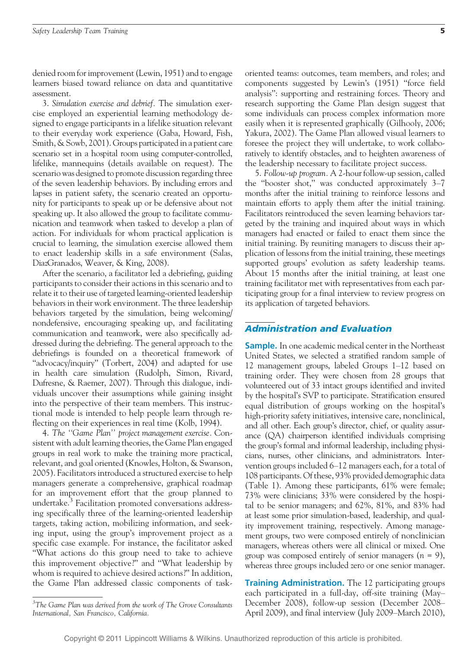denied room for improvement (Lewin, 1951) and to engage learners biased toward reliance on data and quantitative assessment.

3. Simulation exercise and debrief. The simulation exercise employed an experiential learning methodology designed to engage participants in a lifelike situation relevant to their everyday work experience (Gaba, Howard, Fish, Smith, & Sowb, 2001). Groups participated in a patient care scenario set in a hospital room using computer-controlled, lifelike, mannequins (details available on request). The scenario was designed to promote discussion regarding three of the seven leadership behaviors. By including errors and lapses in patient safety, the scenario created an opportunity for participants to speak up or be defensive about not speaking up. It also allowed the group to facilitate communication and teamwork when tasked to develop a plan of action. For individuals for whom practical application is crucial to learning, the simulation exercise allowed them to enact leadership skills in a safe environment (Salas, DiazGranados, Weaver, & King, 2008).

After the scenario, a facilitator led a debriefing, guiding participants to consider their actions in this scenario and to relate it to their use of targeted learning-oriented leadership behaviors in their work environment. The three leadership behaviors targeted by the simulation, being welcoming/ nondefensive, encouraging speaking up, and facilitating communication and teamwork, were also specifically addressed during the debriefing. The general approach to the debriefings is founded on a theoretical framework of "advocacy/inquiry" (Torbert, 2004) and adapted for use in health care simulation (Rudolph, Simon, Rivard, Dufresne, & Raemer, 2007). Through this dialogue, individuals uncover their assumptions while gaining insight into the perspective of their team members. This instructional mode is intended to help people learn through reflecting on their experiences in real time (Kolb, 1994).

4. The ''Game Plan'' project management exercise. Consistent with adult learning theories, the Game Plan engaged groups in real work to make the training more practical, relevant, and goal oriented (Knowles, Holton, & Swanson, 2005). Facilitators introduced a structured exercise to help managers generate a comprehensive, graphical roadmap for an improvement effort that the group planned to undertake.<sup>3</sup> Facilitation promoted conversations addressing specifically three of the learning-oriented leadership targets, taking action, mobilizing information, and seeking input, using the group's improvement project as a specific case example. For instance, the facilitator asked ''What actions do this group need to take to achieve this improvement objective?'' and ''What leadership by whom is required to achieve desired actions?'' In addition, the Game Plan addressed classic components of taskoriented teams: outcomes, team members, and roles; and components suggested by Lewin's (1951) ''force field analysis'': supporting and restraining forces. Theory and research supporting the Game Plan design suggest that some individuals can process complex information more easily when it is represented graphically (Gilhooly, 2006; Yakura, 2002). The Game Plan allowed visual learners to foresee the project they will undertake, to work collaboratively to identify obstacles, and to heighten awareness of the leadership necessary to facilitate project success.

5. Follow-up program. A 2-hour follow-up session, called the "booster shot," was conducted approximately  $3-7$ months after the initial training to reinforce lessons and maintain efforts to apply them after the initial training. Facilitators reintroduced the seven learning behaviors targeted by the training and inquired about ways in which managers had enacted or failed to enact them since the initial training. By reuniting managers to discuss their application of lessons from the initial training, these meetings supported groups' evolution as safety leadership teams. About 15 months after the initial training, at least one training facilitator met with representatives from each participating group for a final interview to review progress on its application of targeted behaviors.

#### Administration and Evaluation

**Sample.** In one academic medical center in the Northeast United States, we selected a stratified random sample of 12 management groups, labeled Groups 1–12 based on training order. They were chosen from 28 groups that volunteered out of 33 intact groups identified and invited by the hospital's SVP to participate. Stratification ensured equal distribution of groups working on the hospital's high-priority safety initiatives, intensive care, nonclinical, and all other. Each group's director, chief, or quality assurance (QA) chairperson identified individuals comprising the group's formal and informal leadership, including physicians, nurses, other clinicians, and administrators. Intervention groups included 6–12 managers each, for a total of 108 participants. Of these, 93% provided demographic data (Table 1). Among these participants, 61% were female; 73% were clinicians; 33% were considered by the hospital to be senior managers; and 62%, 81%, and 83% had at least some prior simulation-based, leadership, and quality improvement training, respectively. Among management groups, two were composed entirely of nonclinician managers, whereas others were all clinical or mixed. One group was composed entirely of senior managers  $(n = 9)$ , whereas three groups included zero or one senior manager.

**Training Administration.** The 12 participating groups each participated in a full-day, off-site training (May-December 2008), follow-up session (December 2008– April 2009), and final interview (July 2009–March 2010),

 $3$ The Game Plan was derived from the work of The Grove Consultants International, San Francisco, California.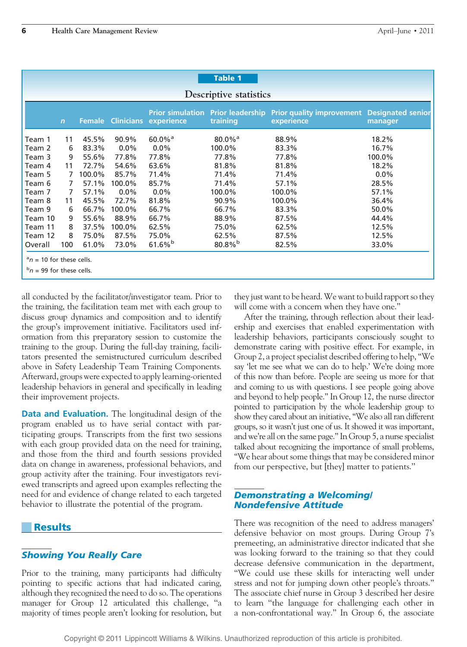| <b>Table 1</b>              |             |        |                          |                       |                                                      |                                                                  |         |
|-----------------------------|-------------|--------|--------------------------|-----------------------|------------------------------------------------------|------------------------------------------------------------------|---------|
| Descriptive statistics      |             |        |                          |                       |                                                      |                                                                  |         |
|                             | $\mathbf n$ |        | <b>Female Clinicians</b> | experience            | <b>Prior simulation Prior leadership</b><br>training | <b>Prior quality improvement</b> Designated senior<br>experience | manager |
| Team 1                      | 11          | 45.5%  | 90.9%                    | $60.0\%$ <sup>a</sup> | $80.0\%$ <sup>a</sup>                                | 88.9%                                                            | 18.2%   |
| Team 2                      | 6           | 83.3%  | $0.0\%$                  | $0.0\%$               | 100.0%                                               | 83.3%                                                            | 16.7%   |
| Team 3                      | 9           | 55.6%  | 77.8%                    | 77.8%                 | 77.8%                                                | 77.8%                                                            | 100.0%  |
| Team 4                      | 11          | 72.7%  | 54.6%                    | 63.6%                 | 81.8%                                                | 81.8%                                                            | 18.2%   |
| Team 5                      | 7           | 100.0% | 85.7%                    | 71.4%                 | 71.4%                                                | 71.4%                                                            | $0.0\%$ |
| Team 6                      | 7           | 57.1%  | 100.0%                   | 85.7%                 | 71.4%                                                | 57.1%                                                            | 28.5%   |
| Team 7                      | 7           | 57.1%  | $0.0\%$                  | $0.0\%$               | 100.0%                                               | 100.0%                                                           | 57.1%   |
| Team 8                      | 11          | 45.5%  | 72.7%                    | 81.8%                 | 90.9%                                                | 100.0%                                                           | 36.4%   |
| Team 9                      | 6           | 66.7%  | 100.0%                   | 66.7%                 | 66.7%                                                | 83.3%                                                            | 50.0%   |
| Team 10                     | 9           | 55.6%  | 88.9%                    | 66.7%                 | 88.9%                                                | 87.5%                                                            | 44.4%   |
| Team 11                     | 8           | 37.5%  | 100.0%                   | 62.5%                 | 75.0%                                                | 62.5%                                                            | 12.5%   |
| Team 12                     | 8           | 75.0%  | 87.5%                    | 75.0%                 | 62.5%                                                | 87.5%                                                            | 12.5%   |
| Overall                     | 100         | 61.0%  | 73.0%                    | $61.6\%$ <sup>b</sup> | $80.8\%$ <sup>b</sup>                                | 82.5%                                                            | 33.0%   |
| $n = 10$ for these cells.   |             |        |                          |                       |                                                      |                                                                  |         |
| $b_n$ = 99 for these cells. |             |        |                          |                       |                                                      |                                                                  |         |

all conducted by the facilitator/investigator team. Prior to the training, the facilitation team met with each group to discuss group dynamics and composition and to identify the group's improvement initiative. Facilitators used information from this preparatory session to customize the training to the group. During the full-day training, facilitators presented the semistructured curriculum described above in Safety Leadership Team Training Components. Afterward, groups were expected to apply learning-oriented leadership behaviors in general and specifically in leading their improvement projects.

**Data and Evaluation.** The longitudinal design of the program enabled us to have serial contact with participating groups. Transcripts from the first two sessions with each group provided data on the need for training, and those from the third and fourth sessions provided data on change in awareness, professional behaviors, and group activity after the training. Four investigators reviewed transcripts and agreed upon examples reflecting the need for and evidence of change related to each targeted behavior to illustrate the potential of the program.

# Results

# Showing You Really Care

Prior to the training, many participants had difficulty pointing to specific actions that had indicated caring, although they recognized the need to do so. The operations manager for Group 12 articulated this challenge, ''a majority of times people aren't looking for resolution, but

they just want to be heard. We want to build rapport so they will come with a concern when they have one."

After the training, through reflection about their leadership and exercises that enabled experimentation with leadership behaviors, participants consciously sought to demonstrate caring with positive effect. For example, in Group 2, a project specialist described offering to help, ''We say 'let me see what we can do to help.' We're doing more of this now than before. People are seeing us more for that and coming to us with questions. I see people going above and beyond to help people.'' In Group 12, the nurse director pointed to participation by the whole leadership group to show they cared about an initiative, ''We also all ran different groups, so it wasn't just one of us. It showed it was important, and we're all on the same page.'' In Group 5, a nurse specialist talked about recognizing the importance of small problems, ''We hear about some things that may be considered minor from our perspective, but [they] matter to patients.''

## Demonstrating a Welcoming/ Nondefensive Attitude

There was recognition of the need to address managers' defensive behavior on most groups. During Group 7's premeeting, an administrative director indicated that she was looking forward to the training so that they could decrease defensive communication in the department, ''We could use these skills for interacting well under stress and not for jumping down other people's throats.'' The associate chief nurse in Group 3 described her desire to learn ''the language for challenging each other in a non-confrontational way.'' In Group 6, the associate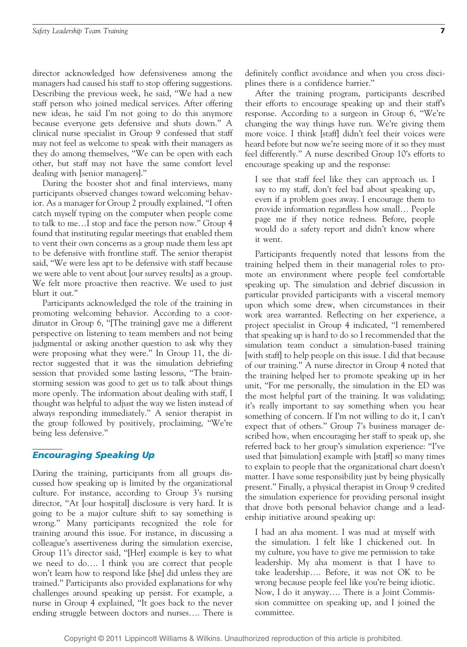director acknowledged how defensiveness among the managers had caused his staff to stop offering suggestions. Describing the previous week, he said, ''We had a new staff person who joined medical services. After offering new ideas, he said I'm not going to do this anymore because everyone gets defensive and shuts down.'' A clinical nurse specialist in Group 9 confessed that staff may not feel as welcome to speak with their managers as they do among themselves, ''We can be open with each other, but staff may not have the same comfort level dealing with [senior managers].''

During the booster shot and final interviews, many participants observed changes toward welcoming behavior. As a manager for Group 2 proudly explained, ''I often catch myself typing on the computer when people come to talk to me...I stop and face the person now." Group 4 found that instituting regular meetings that enabled them to vent their own concerns as a group made them less apt to be defensive with frontline staff. The senior therapist said, ''We were less apt to be defensive with staff because we were able to vent about [our survey results] as a group. We felt more proactive then reactive. We used to just blurt it out.''

Participants acknowledged the role of the training in promoting welcoming behavior. According to a coordinator in Group 6, ''[The training] gave me a different perspective on listening to team members and not being judgmental or asking another question to ask why they were proposing what they were.'' In Group 11, the director suggested that it was the simulation debriefing session that provided some lasting lessons, ''The brainstorming session was good to get us to talk about things more openly. The information about dealing with staff, I thought was helpful to adjust the way we listen instead of always responding immediately.'' A senior therapist in the group followed by positively, proclaiming, ''We're being less defensive.''

## Encouraging Speaking Up

During the training, participants from all groups discussed how speaking up is limited by the organizational culture. For instance, according to Group 3's nursing director, ''At [our hospital] disclosure is very hard. It is going to be a major culture shift to say something is wrong.'' Many participants recognized the role for training around this issue. For instance, in discussing a colleague's assertiveness during the simulation exercise, Group 11's director said, ''[Her] example is key to what we need to do.... I think you are correct that people won't learn how to respond like [she] did unless they are trained.'' Participants also provided explanations for why challenges around speaking up persist. For example, a nurse in Group 4 explained, ''It goes back to the never ending struggle between doctors and nurses.... There is

definitely conflict avoidance and when you cross disciplines there is a confidence barrier.''

After the training program, participants described their efforts to encourage speaking up and their staff's response. According to a surgeon in Group 6, ''We're changing the way things have run. We're giving them more voice. I think [staff] didn't feel their voices were heard before but now we're seeing more of it so they must feel differently.'' A nurse described Group 10's efforts to encourage speaking up and the response:

I see that staff feel like they can approach us. I say to my staff, don't feel bad about speaking up, even if a problem goes away. I encourage them to provide information regardless how small... People page me if they notice redness. Before, people would do a safety report and didn't know where it went.

Participants frequently noted that lessons from the training helped them in their managerial roles to promote an environment where people feel comfortable speaking up. The simulation and debrief discussion in particular provided participants with a visceral memory upon which some drew, when circumstances in their work area warranted. Reflecting on her experience, a project specialist in Group 4 indicated, ''I remembered that speaking up is hard to do so I recommended that the simulation team conduct a simulation-based training [with staff] to help people on this issue. I did that because of our training.'' A nurse director in Group 4 noted that the training helped her to promote speaking up in her unit, ''For me personally, the simulation in the ED was the most helpful part of the training. It was validating; it's really important to say something when you hear something of concern. If I'm not willing to do it, I can't expect that of others.'' Group 7's business manager described how, when encouraging her staff to speak up, she referred back to her group's simulation experience: ''I've used that [simulation] example with [staff] so many times to explain to people that the organizational chart doesn't matter. I have some responsibility just by being physically present.'' Finally, a physical therapist in Group 9 credited the simulation experience for providing personal insight that drove both personal behavior change and a leadership initiative around speaking up:

I had an aha moment. I was mad at myself with the simulation. I felt like I chickened out. In my culture, you have to give me permission to take leadership. My aha moment is that I have to take leadership.... Before, it was not OK to be wrong because people feel like you're being idiotic. Now, I do it anyway.... There is a Joint Commission committee on speaking up, and I joined the committee.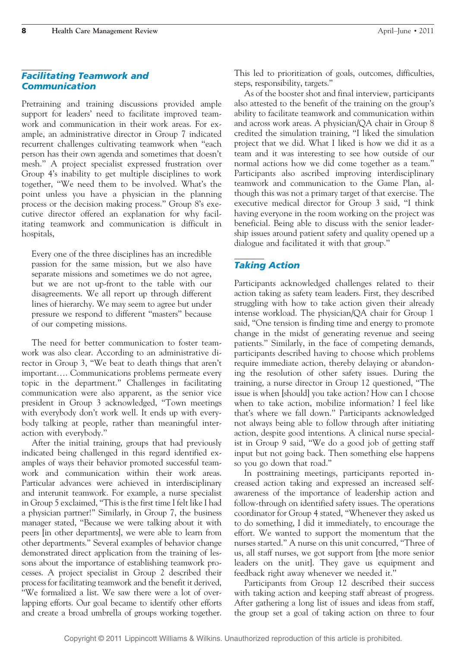#### Facilitating Teamwork and Communication

Pretraining and training discussions provided ample support for leaders' need to facilitate improved teamwork and communication in their work areas. For example, an administrative director in Group 7 indicated recurrent challenges cultivating teamwork when ''each person has their own agenda and sometimes that doesn't mesh.'' A project specialist expressed frustration over Group 4's inability to get multiple disciplines to work together, ''We need them to be involved. What's the point unless you have a physician in the planning process or the decision making process.'' Group 8's executive director offered an explanation for why facilitating teamwork and communication is difficult in hospitals,

Every one of the three disciplines has an incredible passion for the same mission, but we also have separate missions and sometimes we do not agree, but we are not up-front to the table with our disagreements. We all report up through different lines of hierarchy. We may seem to agree but under pressure we respond to different ''masters'' because of our competing missions.

The need for better communication to foster teamwork was also clear. According to an administrative director in Group 3, ''We beat to death things that aren't important.... Communications problems permeate every topic in the department.'' Challenges in facilitating communication were also apparent, as the senior vice president in Group 3 acknowledged, ''Town meetings with everybody don't work well. It ends up with everybody talking at people, rather than meaningful interaction with everybody.''

After the initial training, groups that had previously indicated being challenged in this regard identified examples of ways their behavior promoted successful teamwork and communication within their work areas. Particular advances were achieved in interdisciplinary and interunit teamwork. For example, a nurse specialist in Group 5 exclaimed, ''This is the first time I felt like I had a physician partner!'' Similarly, in Group 7, the business manager stated, ''Because we were talking about it with peers [in other departments], we were able to learn from other departments.'' Several examples of behavior change demonstrated direct application from the training of lessons about the importance of establishing teamwork processes. A project specialist in Group 2 described their process for facilitating teamwork and the benefit it derived, ''We formalized a list. We saw there were a lot of overlapping efforts. Our goal became to identify other efforts and create a broad umbrella of groups working together.

This led to prioritization of goals, outcomes, difficulties, steps, responsibility, targets.''

As of the booster shot and final interview, participants also attested to the benefit of the training on the group's ability to facilitate teamwork and communication within and across work areas. A physician/QA chair in Group 8 credited the simulation training, ''I liked the simulation project that we did. What I liked is how we did it as a team and it was interesting to see how outside of our normal actions how we did come together as a team.'' Participants also ascribed improving interdisciplinary teamwork and communication to the Game Plan, although this was not a primary target of that exercise. The executive medical director for Group 3 said, ''I think having everyone in the room working on the project was beneficial. Being able to discuss with the senior leadership issues around patient safety and quality opened up a dialogue and facilitated it with that group.''

#### Taking Action

Participants acknowledged challenges related to their action taking as safety team leaders. First, they described struggling with how to take action given their already intense workload. The physician/QA chair for Group 1 said, ''One tension is finding time and energy to promote change in the midst of generating revenue and seeing patients.'' Similarly, in the face of competing demands, participants described having to choose which problems require immediate action, thereby delaying or abandoning the resolution of other safety issues. During the training, a nurse director in Group 12 questioned, ''The issue is when [should] you take action? How can I choose when to take action, mobilize information? I feel like that's where we fall down.'' Participants acknowledged not always being able to follow through after initiating action, despite good intentions. A clinical nurse specialist in Group 9 said, ''We do a good job of getting staff input but not going back. Then something else happens so you go down that road.''

In posttraining meetings, participants reported increased action taking and expressed an increased selfawareness of the importance of leadership action and follow-through on identified safety issues. The operations coordinator for Group 4 stated, ''Whenever they asked us to do something, I did it immediately, to encourage the effort. We wanted to support the momentum that the nurses started.'' A nurse on this unit concurred, ''Three of us, all staff nurses, we got support from [the more senior leaders on the unit]. They gave us equipment and feedback right away whenever we needed it.''

Participants from Group 12 described their success with taking action and keeping staff abreast of progress. After gathering a long list of issues and ideas from staff, the group set a goal of taking action on three to four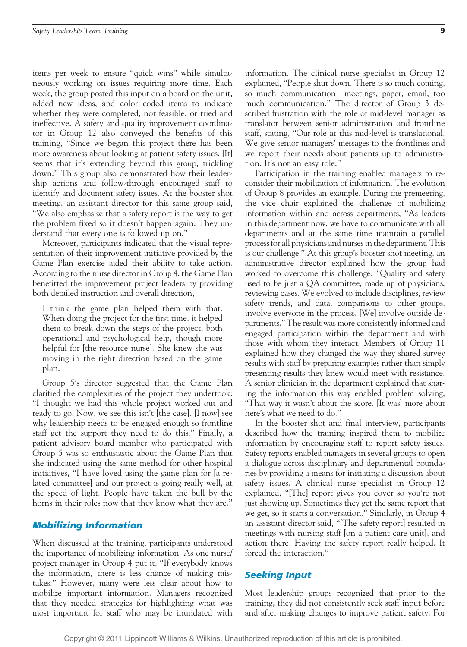items per week to ensure ''quick wins'' while simultaneously working on issues requiring more time. Each week, the group posted this input on a board on the unit, added new ideas, and color coded items to indicate whether they were completed, not feasible, or tried and ineffective. A safety and quality improvement coordinator in Group 12 also conveyed the benefits of this training, ''Since we began this project there has been more awareness about looking at patient safety issues. [It] seems that it's extending beyond this group, trickling down.'' This group also demonstrated how their leadership actions and follow-through encouraged staff to identify and document safety issues. At the booster shot meeting, an assistant director for this same group said, ''We also emphasize that a safety report is the way to get the problem fixed so it doesn't happen again. They understand that every one is followed up on.''

Moreover, participants indicated that the visual representation of their improvement initiative provided by the Game Plan exercise aided their ability to take action. According to the nurse director in Group 4, the Game Plan benefitted the improvement project leaders by providing both detailed instruction and overall direction,

I think the game plan helped them with that. When doing the project for the first time, it helped them to break down the steps of the project, both operational and psychological help, though more helpful for [the resource nurse]. She knew she was moving in the right direction based on the game plan.

Group 5's director suggested that the Game Plan clarified the complexities of the project they undertook: ''I thought we had this whole project worked out and ready to go. Now, we see this isn't [the case]. [I now] see why leadership needs to be engaged enough so frontline staff get the support they need to do this.'' Finally, a patient advisory board member who participated with Group 5 was so enthusiastic about the Game Plan that she indicated using the same method for other hospital initiatives, ''I have loved using the game plan for [a related committee] and our project is going really well, at the speed of light. People have taken the bull by the horns in their roles now that they know what they are.''

## Mobilizing Information

When discussed at the training, participants understood the importance of mobilizing information. As one nurse/ project manager in Group 4 put it, ''If everybody knows the information, there is less chance of making mistakes.'' However, many were less clear about how to mobilize important information. Managers recognized that they needed strategies for highlighting what was most important for staff who may be inundated with

information. The clinical nurse specialist in Group 12 explained, ''People shut down. There is so much coming, so much communication—meetings, paper, email, too much communication.'' The director of Group 3 described frustration with the role of mid-level manager as translator between senior administration and frontline staff, stating, ''Our role at this mid-level is translational. We give senior managers' messages to the frontlines and

we report their needs about patients up to administra-

tion. It's not an easy role.'' Participation in the training enabled managers to reconsider their mobilization of information. The evolution of Group 8 provides an example. During the premeeting, the vice chair explained the challenge of mobilizing information within and across departments, ''As leaders in this department now, we have to communicate with all departments and at the same time maintain a parallel process for all physicians and nurses in the department. This is our challenge.'' At this group's booster shot meeting, an administrative director explained how the group had worked to overcome this challenge: ''Quality and safety used to be just a QA committee, made up of physicians, reviewing cases. We evolved to include disciplines, review safety trends, and data, comparisons to other groups, involve everyone in the process. [We] involve outside departments.'' The result was more consistently informed and engaged participation within the department and with those with whom they interact. Members of Group 11 explained how they changed the way they shared survey results with staff by preparing examples rather than simply presenting results they knew would meet with resistance. A senior clinician in the department explained that sharing the information this way enabled problem solving, ''That way it wasn't about the score. [It was] more about here's what we need to do.''

In the booster shot and final interview, participants described how the training inspired them to mobilize information by encouraging staff to report safety issues. Safety reports enabled managers in several groups to open a dialogue across disciplinary and departmental boundaries by providing a means for initiating a discussion about safety issues. A clinical nurse specialist in Group 12 explained, ''[The] report gives you cover so you're not just showing up. Sometimes they get the same report that we get, so it starts a conversation.'' Similarly, in Group 4 an assistant director said, ''[The safety report] resulted in meetings with nursing staff [on a patient care unit], and action there. Having the safety report really helped. It forced the interaction.''

## Seeking Input

Most leadership groups recognized that prior to the training, they did not consistently seek staff input before and after making changes to improve patient safety. For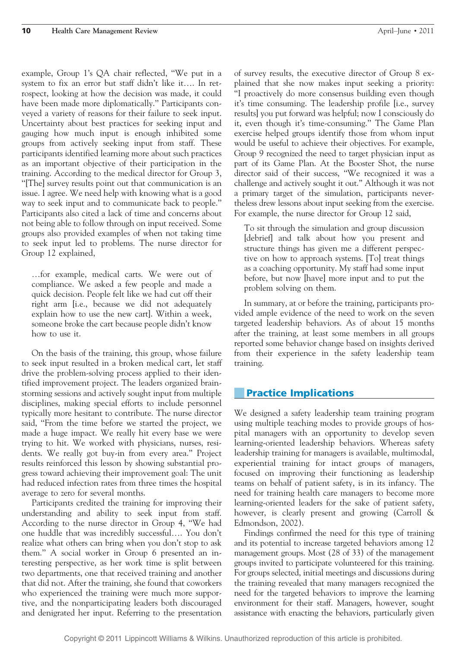example, Group 1's QA chair reflected, ''We put in a system to fix an error but staff didn't like it.... In retrospect, looking at how the decision was made, it could have been made more diplomatically.'' Participants conveyed a variety of reasons for their failure to seek input. Uncertainty about best practices for seeking input and gauging how much input is enough inhibited some groups from actively seeking input from staff. These participants identified learning more about such practices as an important objective of their participation in the training. According to the medical director for Group 3, ''[The] survey results point out that communication is an issue. I agree. We need help with knowing what is a good way to seek input and to communicate back to people.'' Participants also cited a lack of time and concerns about not being able to follow through on input received. Some groups also provided examples of when not taking time to seek input led to problems. The nurse director for Group 12 explained,

...for example, medical carts. We were out of compliance. We asked a few people and made a quick decision. People felt like we had cut off their right arm [i.e., because we did not adequately explain how to use the new cart]. Within a week, someone broke the cart because people didn't know how to use it.

On the basis of the training, this group, whose failure to seek input resulted in a broken medical cart, let staff drive the problem-solving process applied to their identified improvement project. The leaders organized brainstorming sessions and actively sought input from multiple disciplines, making special efforts to include personnel typically more hesitant to contribute. The nurse director said, ''From the time before we started the project, we made a huge impact. We really hit every base we were trying to hit. We worked with physicians, nurses, residents. We really got buy-in from every area.'' Project results reinforced this lesson by showing substantial progress toward achieving their improvement goal: The unit had reduced infection rates from three times the hospital average to zero for several months.

Participants credited the training for improving their understanding and ability to seek input from staff. According to the nurse director in Group 4, ''We had one huddle that was incredibly successful.... You don't realize what others can bring when you don't stop to ask them.'' A social worker in Group 6 presented an interesting perspective, as her work time is split between two departments, one that received training and another that did not. After the training, she found that coworkers who experienced the training were much more supportive, and the nonparticipating leaders both discouraged and denigrated her input. Referring to the presentation

of survey results, the executive director of Group 8 explained that she now makes input seeking a priority: ''I proactively do more consensus building even though it's time consuming. The leadership profile [i.e., survey results] you put forward was helpful; now I consciously do it, even though it's time-consuming.'' The Game Plan exercise helped groups identify those from whom input would be useful to achieve their objectives. For example, Group 9 recognized the need to target physician input as part of its Game Plan. At the Booster Shot, the nurse director said of their success, ''We recognized it was a challenge and actively sought it out.'' Although it was not a primary target of the simulation, participants nevertheless drew lessons about input seeking from the exercise. For example, the nurse director for Group 12 said,

To sit through the simulation and group discussion [debrief] and talk about how you present and structure things has given me a different perspective on how to approach systems. [To] treat things as a coaching opportunity. My staff had some input before, but now [have] more input and to put the problem solving on them.

In summary, at or before the training, participants provided ample evidence of the need to work on the seven targeted leadership behaviors. As of about 15 months after the training, at least some members in all groups reported some behavior change based on insights derived from their experience in the safety leadership team training.

# Practice Implications

We designed a safety leadership team training program using multiple teaching modes to provide groups of hospital managers with an opportunity to develop seven learning-oriented leadership behaviors. Whereas safety leadership training for managers is available, multimodal, experiential training for intact groups of managers, focused on improving their functioning as leadership teams on behalf of patient safety, is in its infancy. The need for training health care managers to become more learning-oriented leaders for the sake of patient safety, however, is clearly present and growing (Carroll & Edmondson, 2002).

Findings confirmed the need for this type of training and its potential to increase targeted behaviors among 12 management groups. Most (28 of 33) of the management groups invited to participate volunteered for this training. For groups selected, initial meetings and discussions during the training revealed that many managers recognized the need for the targeted behaviors to improve the learning environment for their staff. Managers, however, sought assistance with enacting the behaviors, particularly given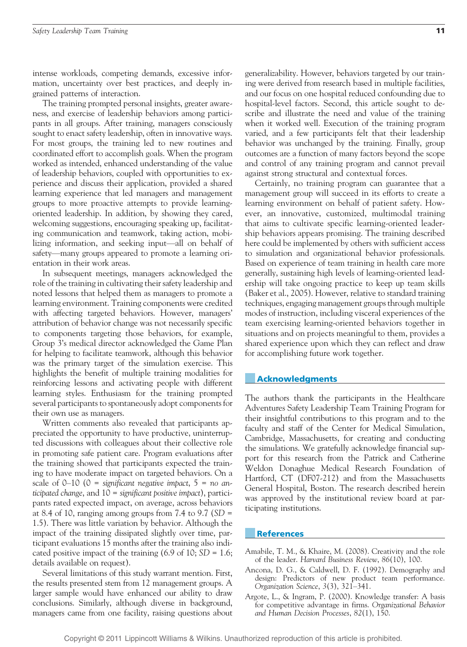intense workloads, competing demands, excessive information, uncertainty over best practices, and deeply ingrained patterns of interaction.

The training prompted personal insights, greater awareness, and exercise of leadership behaviors among participants in all groups. After training, managers consciously sought to enact safety leadership, often in innovative ways. For most groups, the training led to new routines and coordinated effort to accomplish goals. When the program worked as intended, enhanced understanding of the value of leadership behaviors, coupled with opportunities to experience and discuss their application, provided a shared learning experience that led managers and management groups to more proactive attempts to provide learningoriented leadership. In addition, by showing they cared, welcoming suggestions, encouraging speaking up, facilitating communication and teamwork, taking action, mobilizing information, and seeking input—all on behalf of safety—many groups appeared to promote a learning orientation in their work areas.

In subsequent meetings, managers acknowledged the role of the training in cultivating their safety leadership and noted lessons that helped them as managers to promote a learning environment. Training components were credited with affecting targeted behaviors. However, managers' attribution of behavior change was not necessarily specific to components targeting those behaviors, for example, Group 3's medical director acknowledged the Game Plan for helping to facilitate teamwork, although this behavior was the primary target of the simulation exercise. This highlights the benefit of multiple training modalities for reinforcing lessons and activating people with different learning styles. Enthusiasm for the training prompted several participants to spontaneously adopt components for their own use as managers.

Written comments also revealed that participants appreciated the opportunity to have productive, uninterrupted discussions with colleagues about their collective role in promoting safe patient care. Program evaluations after the training showed that participants expected the training to have moderate impact on targeted behaviors. On a scale of  $0-10$  ( $0 =$  significant negative impact,  $5 =$  no anticipated change, and 10 = significant positive impact), participants rated expected impact, on average, across behaviors at 8.4 of 10, ranging among groups from 7.4 to 9.7 ( $SD =$ 1.5). There was little variation by behavior. Although the impact of the training dissipated slightly over time, participant evaluations 15 months after the training also indicated positive impact of the training  $(6.9 \text{ of } 10; SD = 1.6;$ details available on request).

Several limitations of this study warrant mention. First, the results presented stem from 12 management groups. A larger sample would have enhanced our ability to draw conclusions. Similarly, although diverse in background, managers came from one facility, raising questions about

generalizability. However, behaviors targeted by our training were derived from research based in multiple facilities, and our focus on one hospital reduced confounding due to hospital-level factors. Second, this article sought to describe and illustrate the need and value of the training when it worked well. Execution of the training program varied, and a few participants felt that their leadership behavior was unchanged by the training. Finally, group outcomes are a function of many factors beyond the scope and control of any training program and cannot prevail against strong structural and contextual forces.

Certainly, no training program can guarantee that a management group will succeed in its efforts to create a learning environment on behalf of patient safety. However, an innovative, customized, multimodal training that aims to cultivate specific learning-oriented leadership behaviors appears promising. The training described here could be implemented by others with sufficient access to simulation and organizational behavior professionals. Based on experience of team training in health care more generally, sustaining high levels of learning-oriented leadership will take ongoing practice to keep up team skills (Baker et al., 2005). However, relative to standard training techniques, engaging management groups through multiple modes of instruction, including visceral experiences of the team exercising learning-oriented behaviors together in situations and on projects meaningful to them, provides a shared experience upon which they can reflect and draw for accomplishing future work together.

#### Acknowledgments

The authors thank the participants in the Healthcare Adventures Safety Leadership Team Training Program for their insightful contributions to this program and to the faculty and staff of the Center for Medical Simulation, Cambridge, Massachusetts, for creating and conducting the simulations. We gratefully acknowledge financial support for this research from the Patrick and Catherine Weldon Donaghue Medical Research Foundation of Hartford, CT (DF07-212) and from the Massachusetts General Hospital, Boston. The research described herein was approved by the institutional review board at participating institutions.

#### References

- Amabile, T. M., & Khaire, M. (2008). Creativity and the role of the leader. Harvard Business Review, 86(10), 100.
- Ancona, D. G., & Caldwell, D. F. (1992). Demography and design: Predictors of new product team performance. Organization Science, 3(3), 321–341.
- Argote, L., & Ingram, P. (2000). Knowledge transfer: A basis for competitive advantage in firms. Organizational Behavior and Human Decision Processes, 82(1), 150.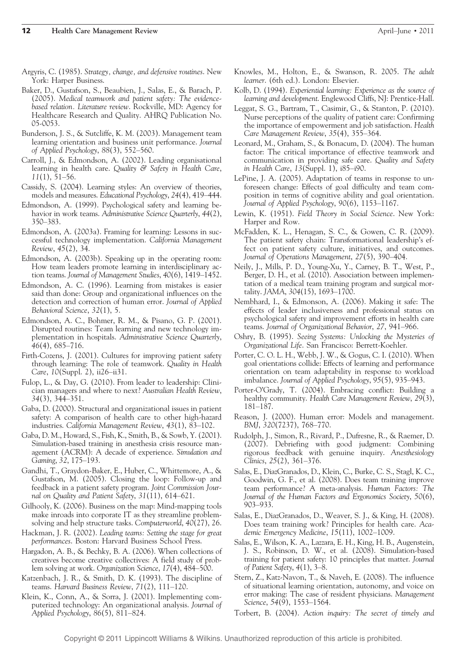- Argyris, C. (1985). Strategy, change, and defensive routines. New York: Harper Business.
- Baker, D., Gustafson, S., Beaubien, J., Salas, E., & Barach, P. (2005). Medical teamwork and patient safety: The evidencebased relation. Literature review. Rockville, MD: Agency for Healthcare Research and Quality. AHRQ Publication No. 05-0053.
- Bunderson, J. S., & Sutcliffe, K. M. (2003). Management team learning orientation and business unit performance. Journal of Applied Psychology,  $88(3)$ ,  $552-560$ .
- Carroll, J., & Edmondson, A. (2002). Leading organisational learning in health care. Quality & Safety in Health Care,  $11(1), 51-56.$
- Cassidy, S. (2004). Learning styles: An overview of theories, models and measures. Educational Psychology, 24(4), 419–444.
- Edmondson, A. (1999). Psychological safety and learning behavior in work teams. Administrative Science Quarterly, 44(2), 350-383.
- Edmondson, A. (2003a). Framing for learning: Lessons in successful technology implementation. California Management Review, 45(2), 34.
- Edmondson, A. (2003b). Speaking up in the operating room: How team leaders promote learning in interdisciplinary action teams. Journal of Management Studies,  $40(6)$ , 1419–1452.
- Edmondson, A. C. (1996). Learning from mistakes is easier said than done: Group and organizational influences on the detection and correction of human error. Journal of Applied Behavioral Science, 32(1), 5.
- Edmondson, A. C., Bohmer, R. M., & Pisano, G. P. (2001). Disrupted routines: Team learning and new technology implementation in hospitals. Administrative Science Quarterly,  $46(4)$ , 685-716.
- Firth-Cozens, J. (2001). Cultures for improving patient safety through learning: The role of teamwork. Quality in Health Care, 10(Suppl. 2), ii26-ii31.
- Fulop, L., & Day, G. (2010). From leader to leadership: Clinician managers and where to next? Australian Health Review,  $34(3)$ ,  $344-351$ .
- Gaba, D. (2000). Structural and organizational issues in patient safety: A comparison of health care to other high-hazard industries. California Management Review,  $43(1)$ ,  $83-102$ .
- Gaba, D. M., Howard, S., Fish, K., Smith, B., & Sowb, Y. (2001). Simulation-based training in anesthesia crisis resource management (ACRM): A decade of experience. Simulation and Gaming, 32, 175–193.
- Gandhi, T., Graydon-Baker, E., Huber, C., Whittemore, A., & Gustafson, M. (2005). Closing the loop: Follow-up and feedback in a patient safety program. Joint Commission Journal on Quality and Patient Safety,  $31(11)$ ,  $614–621$ .
- Gilhooly, K. (2006). Business on the map: Mind-mapping tools make inroads into corporate IT as they streamline problemsolving and help structure tasks. Computerworld, 40(27), 26.
- Hackman, J. R. (2002). Leading teams: Setting the stage for great performances. Boston: Harvard Business School Press.
- Hargadon, A. B., & Bechky, B. A. (2006). When collections of creatives become creative collectives: A field study of problem solving at work. Organization Science, 17(4), 484–500.
- Katzenbach, J. R., & Smith, D. K. (1993). The discipline of teams. Harvard Business Review,  $71(2)$ ,  $111-120$ .
- Klein, K., Conn, A., & Sorra, J. (2001). Implementing computerized technology: An organizational analysis. Journal of Applied Psychology,  $86(5)$ ,  $811-824$ .
- Knowles, M., Holton, E., & Swanson, R. 2005. The adult learner. (6th ed.). London: Elsevier.
- Kolb, D. (1994). Experiential learning: Experience as the source of learning and development. Englewood Cliffs, NJ: Prentice-Hall.
- Leggat, S. G., Bartram, T., Casimir, G., & Stanton, P. (2010). Nurse perceptions of the quality of patient care: Confirming the importance of empowerment and job satisfaction. Health Care Management Review, 35(4), 355-364.
- Leonard, M., Graham, S., & Bonacum, D. (2004). The human factor: The critical importance of effective teamwork and communication in providing safe care. Quality and Safety in Health Care,  $13(\text{Suppl. 1}), 185-190.$
- LePine, J. A. (2005). Adaptation of teams in response to unforeseen change: Effects of goal difficulty and team composition in terms of cognitive ability and goal orientation. Journal of Applied Psychology,  $90(6)$ , 1153–1167.
- Lewin, K. (1951). Field Theory in Social Science. New York: Harper and Row.
- McFadden, K. L., Henagan, S. C., & Gowen, C. R. (2009). The patient safety chain: Transformational leadership's effect on patient safety culture, initiatives, and outcomes. Journal of Operations Management, 27(5), 390-404.
- Neily, J., Mills, P. D., Young-Xu, Y., Carney, B. T., West, P., Berger, D. H., et al. (2010). Association between implementation of a medical team training program and surgical mortality. JAMA, 304(15), 1693–1700.
- Nembhard, I., & Edmonson, A. (2006). Making it safe: The effects of leader inclusiveness and professional status on psychological safety and improvement efforts in health care teams. Journal of Organizational Behavior, 27, 941-966.
- Oshry, B. (1995). Seeing Systems: Unlocking the Mysteries of Organizational Life. San Francisco: Berrett-Koehler.
- Porter, C. O. L. H., Webb, J. W., & Gogus, C. I. (2010). When goal orientations collide: Effects of learning and performance orientation on team adaptability in response to workload imbalance. Journal of Applied Psychology, 95(5), 935-943.
- Porter-O'Grady, T. (2004). Embracing conflict: Building a healthy community. Health Care Management Review, 29(3),  $181 - 187.$
- Reason, J. (2000). Human error: Models and management. BMJ, 320(7237), 768-770.
- Rudolph, J., Simon, R., Rivard, P., Dufresne, R., & Raemer, D. (2007). Debriefing with good judgment: Combining rigorous feedback with genuine inquiry. Anesthesiology Clinics, 25(2), 361-376.
- Salas, E., DiazGranados, D., Klein, C., Burke, C. S., Stagl, K. C., Goodwin, G. F., et al. (2008). Does team training improve team performance? A meta-analysis. Human Factors: The Journal of the Human Factors and Ergonomics Society, 50(6), 903-933.
- Salas, E., DiazGranados, D., Weaver, S. J., & King, H. (2008). Does team training work? Principles for health care. Academic Emergency Medicine,  $15(11)$ ,  $1002-1009$ .
- Salas, E., Wilson, K. A., Lazzara, E. H., King, H. B., Augenstein, J. S., Robinson, D. W., et al. (2008). Simulation-based training for patient safety: 10 principles that matter. Journal of Patient Safety,  $4(1)$ ,  $3-8$ .
- Stern, Z., Katz-Navon, T., & Naveh, E. (2008). The influence of situational learning orientation, autonomy, and voice on error making: The case of resident physicians. Management Science,  $54(\overline{9})$ , 1553-1564.

Torbert, B. (2004). Action inquiry: The secret of timely and